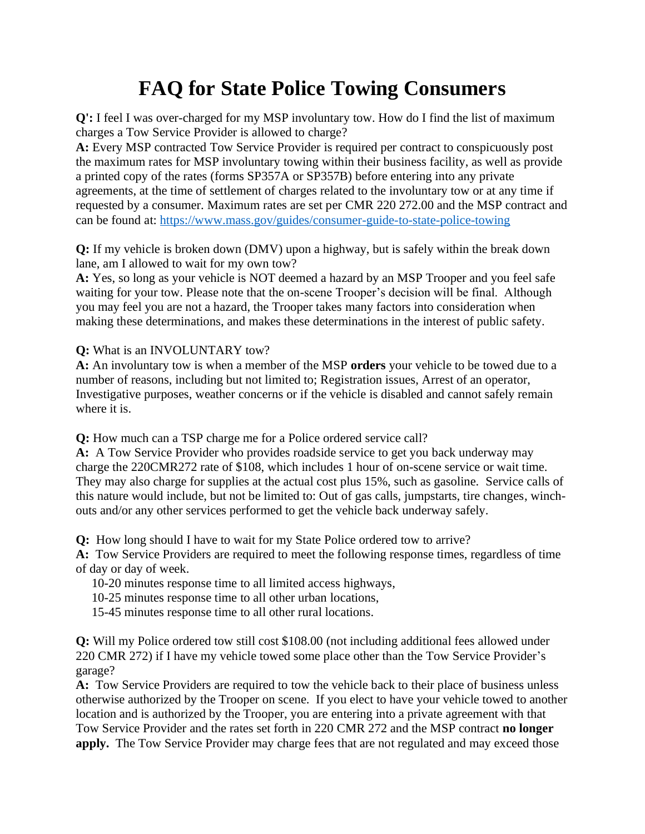## **FAQ for State Police Towing Consumers**

**Q':** I feel I was over-charged for my MSP involuntary tow. How do I find the list of maximum charges a Tow Service Provider is allowed to charge?

**A:** Every MSP contracted Tow Service Provider is required per contract to conspicuously post the maximum rates for MSP involuntary towing within their business facility, as well as provide a printed copy of the rates (forms SP357A or SP357B) before entering into any private agreements, at the time of settlement of charges related to the involuntary tow or at any time if requested by a consumer. Maximum rates are set per CMR 220 272.00 and the MSP contract and can be found at: <https://www.mass.gov/guides/consumer-guide-to-state-police-towing>

**Q:** If my vehicle is broken down (DMV) upon a highway, but is safely within the break down lane, am I allowed to wait for my own tow?

**A:** Yes, so long as your vehicle is NOT deemed a hazard by an MSP Trooper and you feel safe waiting for your tow. Please note that the on-scene Trooper's decision will be final. Although you may feel you are not a hazard, the Trooper takes many factors into consideration when making these determinations, and makes these determinations in the interest of public safety.

**Q:** What is an INVOLUNTARY tow?

**A:** An involuntary tow is when a member of the MSP **orders** your vehicle to be towed due to a number of reasons, including but not limited to; Registration issues, Arrest of an operator, Investigative purposes, weather concerns or if the vehicle is disabled and cannot safely remain where it is.

**Q:** How much can a TSP charge me for a Police ordered service call?

**A:** A Tow Service Provider who provides roadside service to get you back underway may charge the 220CMR272 rate of \$108, which includes 1 hour of on-scene service or wait time. They may also charge for supplies at the actual cost plus 15%, such as gasoline. Service calls of this nature would include, but not be limited to: Out of gas calls, jumpstarts, tire changes, winchouts and/or any other services performed to get the vehicle back underway safely.

**Q:** How long should I have to wait for my State Police ordered tow to arrive?

**A:** Tow Service Providers are required to meet the following response times, regardless of time of day or day of week.

- 10-20 minutes response time to all limited access highways,
- 10-25 minutes response time to all other urban locations,
- 15-45 minutes response time to all other rural locations.

**Q:** Will my Police ordered tow still cost \$108.00 (not including additional fees allowed under 220 CMR 272) if I have my vehicle towed some place other than the Tow Service Provider's garage?

**A:** Tow Service Providers are required to tow the vehicle back to their place of business unless otherwise authorized by the Trooper on scene. If you elect to have your vehicle towed to another location and is authorized by the Trooper, you are entering into a private agreement with that Tow Service Provider and the rates set forth in 220 CMR 272 and the MSP contract **no longer apply.** The Tow Service Provider may charge fees that are not regulated and may exceed those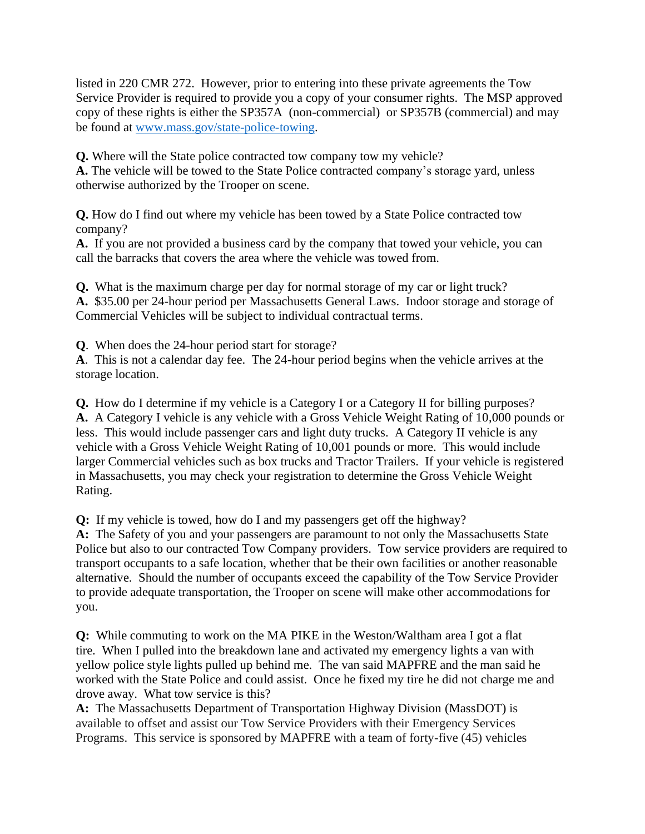listed in 220 CMR 272. However, prior to entering into these private agreements the Tow Service Provider is required to provide you a copy of your consumer rights. The MSP approved copy of these rights is either the SP357A (non-commercial) or SP357B (commercial) and may be found at [www.mass.gov/state-police-towing.](http://www.mass.gov/state-police-towing)

**Q.** Where will the State police contracted tow company tow my vehicle?

**A.** The vehicle will be towed to the State Police contracted company's storage yard, unless otherwise authorized by the Trooper on scene.

**Q.** How do I find out where my vehicle has been towed by a State Police contracted tow company?

**A.** If you are not provided a business card by the company that towed your vehicle, you can call the barracks that covers the area where the vehicle was towed from.

**Q.** What is the maximum charge per day for normal storage of my car or light truck? **A.** \$35.00 per 24-hour period per Massachusetts General Laws. Indoor storage and storage of Commercial Vehicles will be subject to individual contractual terms.

**Q**. When does the 24-hour period start for storage?

**A**. This is not a calendar day fee. The 24-hour period begins when the vehicle arrives at the storage location.

**Q.** How do I determine if my vehicle is a Category I or a Category II for billing purposes? **A.** A Category I vehicle is any vehicle with a Gross Vehicle Weight Rating of 10,000 pounds or less. This would include passenger cars and light duty trucks. A Category II vehicle is any vehicle with a Gross Vehicle Weight Rating of 10,001 pounds or more. This would include larger Commercial vehicles such as box trucks and Tractor Trailers. If your vehicle is registered in Massachusetts, you may check your registration to determine the Gross Vehicle Weight Rating.

**Q:** If my vehicle is towed, how do I and my passengers get off the highway?

**A:** The Safety of you and your passengers are paramount to not only the Massachusetts State Police but also to our contracted Tow Company providers. Tow service providers are required to transport occupants to a safe location, whether that be their own facilities or another reasonable alternative. Should the number of occupants exceed the capability of the Tow Service Provider to provide adequate transportation, the Trooper on scene will make other accommodations for you.

**Q:** While commuting to work on the MA PIKE in the Weston/Waltham area I got a flat tire. When I pulled into the breakdown lane and activated my emergency lights a van with yellow police style lights pulled up behind me. The van said MAPFRE and the man said he worked with the State Police and could assist. Once he fixed my tire he did not charge me and drove away. What tow service is this?

**A:** The Massachusetts Department of Transportation Highway Division (MassDOT) is available to offset and assist our Tow Service Providers with their Emergency Services Programs. This service is sponsored by MAPFRE with a team of forty-five (45) vehicles